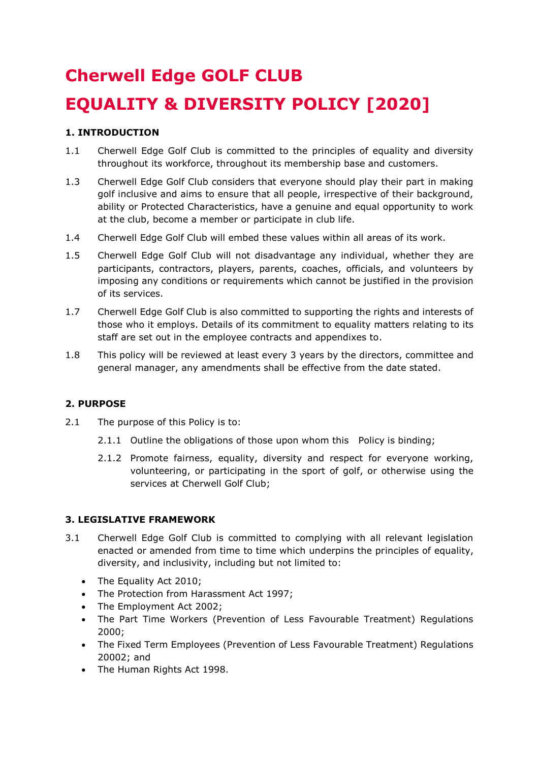# **Cherwell Edge GOLF CLUB EQUALITY & DIVERSITY POLICY [2020]**

# **1. INTRODUCTION**

- 1.1 Cherwell Edge Golf Club is committed to the principles of equality and diversity throughout its workforce, throughout its membership base and customers.
- 1.3 Cherwell Edge Golf Club considers that everyone should play their part in making golf inclusive and aims to ensure that all people, irrespective of their background, ability or Protected Characteristics, have a genuine and equal opportunity to work at the club, become a member or participate in club life.
- 1.4 Cherwell Edge Golf Club will embed these values within all areas of its work.
- 1.5 Cherwell Edge Golf Club will not disadvantage any individual, whether they are participants, contractors, players, parents, coaches, officials, and volunteers by imposing any conditions or requirements which cannot be justified in the provision of its services.
- 1.7 Cherwell Edge Golf Club is also committed to supporting the rights and interests of those who it employs. Details of its commitment to equality matters relating to its staff are set out in the employee contracts and appendixes to.
- 1.8 This policy will be reviewed at least every 3 years by the directors, committee and general manager, any amendments shall be effective from the date stated.

# **2. PURPOSE**

- 2.1 The purpose of this Policy is to:
	- 2.1.1 Outline the obligations of those upon whom this Policy is binding;
	- 2.1.2 Promote fairness, equality, diversity and respect for everyone working, volunteering, or participating in the sport of golf, or otherwise using the services at Cherwell Golf Club;

# **3. LEGISLATIVE FRAMEWORK**

- 3.1 Cherwell Edge Golf Club is committed to complying with all relevant legislation enacted or amended from time to time which underpins the principles of equality, diversity, and inclusivity, including but not limited to:
	- The Equality Act 2010:
	- The Protection from Harassment Act 1997;
	- The Employment Act 2002;
	- The Part Time Workers (Prevention of Less Favourable Treatment) Regulations 2000;
	- The Fixed Term Employees (Prevention of Less Favourable Treatment) Regulations 20002; and
	- The Human Rights Act 1998.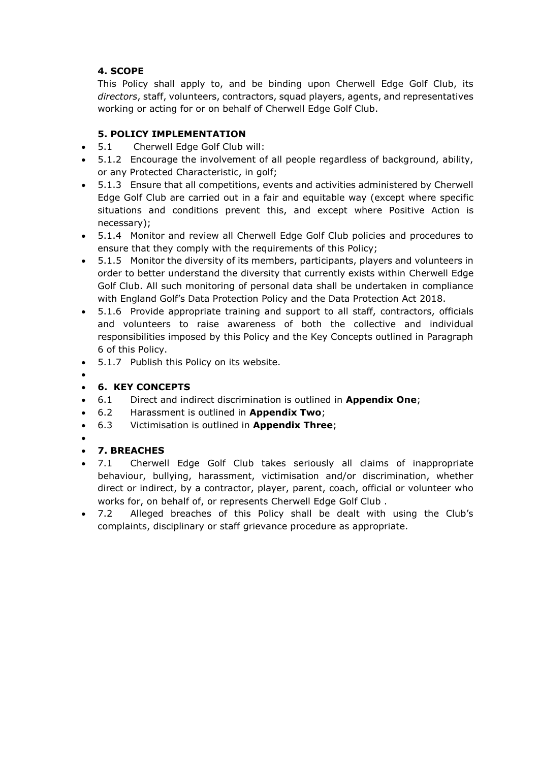# **4. SCOPE**

This Policy shall apply to, and be binding upon Cherwell Edge Golf Club, its *directors*, staff, volunteers, contractors, squad players, agents, and representatives working or acting for or on behalf of Cherwell Edge Golf Club.

# **5. POLICY IMPLEMENTATION**

- 5.1 Cherwell Edge Golf Club will:
- 5.1.2 Encourage the involvement of all people regardless of background, ability, or any Protected Characteristic, in golf;
- 5.1.3 Ensure that all competitions, events and activities administered by Cherwell Edge Golf Club are carried out in a fair and equitable way (except where specific situations and conditions prevent this, and except where Positive Action is necessary);
- 5.1.4 Monitor and review all Cherwell Edge Golf Club policies and procedures to ensure that they comply with the requirements of this Policy;
- 5.1.5 Monitor the diversity of its members, participants, players and volunteers in order to better understand the diversity that currently exists within Cherwell Edge Golf Club. All such monitoring of personal data shall be undertaken in compliance with England Golf's Data Protection Policy and the Data Protection Act 2018.
- 5.1.6 Provide appropriate training and support to all staff, contractors, officials and volunteers to raise awareness of both the collective and individual responsibilities imposed by this Policy and the Key Concepts outlined in Paragraph 6 of this Policy.
- 5.1.7 Publish this Policy on its website.
- $\bullet$

# **6. KEY CONCEPTS**

- 6.1 Direct and indirect discrimination is outlined in **Appendix One**;
- 6.2 Harassment is outlined in **Appendix Two**;
- 6.3 Victimisation is outlined in **Appendix Three**;
- $\bullet$

# **7. BREACHES**

- 7.1 Cherwell Edge Golf Club takes seriously all claims of inappropriate behaviour, bullying, harassment, victimisation and/or discrimination, whether direct or indirect, by a contractor, player, parent, coach, official or volunteer who works for, on behalf of, or represents Cherwell Edge Golf Club .
- 7.2 Alleged breaches of this Policy shall be dealt with using the Club's complaints, disciplinary or staff grievance procedure as appropriate.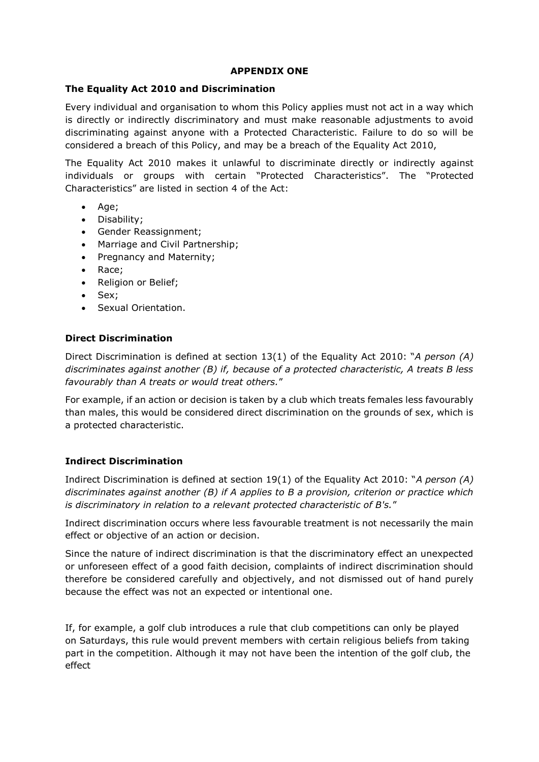#### **APPENDIX ONE**

# **The Equality Act 2010 and Discrimination**

Every individual and organisation to whom this Policy applies must not act in a way which is directly or indirectly discriminatory and must make reasonable adjustments to avoid discriminating against anyone with a Protected Characteristic. Failure to do so will be considered a breach of this Policy, and may be a breach of the Equality Act 2010,

The Equality Act 2010 makes it unlawful to discriminate directly or indirectly against individuals or groups with certain "Protected Characteristics". The "Protected Characteristics" are listed in section 4 of the Act:

- Age;
- Disability;
- Gender Reassignment;
- Marriage and Civil Partnership:
- Pregnancy and Maternity;
- Race;
- Religion or Belief;
- Sex:
- Sexual Orientation.

# **Direct Discrimination**

Direct Discrimination is defined at section 13(1) of the Equality Act 2010: "*A person (A) discriminates against another (B) if, because of a protected characteristic, A treats B less favourably than A treats or would treat others.*"

For example, if an action or decision is taken by a club which treats females less favourably than males, this would be considered direct discrimination on the grounds of sex, which is a protected characteristic.

# **Indirect Discrimination**

Indirect Discrimination is defined at section 19(1) of the Equality Act 2010: "*A person (A) discriminates against another (B) if A applies to B a provision, criterion or practice which is discriminatory in relation to a relevant protected characteristic of B's.*"

Indirect discrimination occurs where less favourable treatment is not necessarily the main effect or objective of an action or decision.

Since the nature of indirect discrimination is that the discriminatory effect an unexpected or unforeseen effect of a good faith decision, complaints of indirect discrimination should therefore be considered carefully and objectively, and not dismissed out of hand purely because the effect was not an expected or intentional one.

If, for example, a golf club introduces a rule that club competitions can only be played on Saturdays, this rule would prevent members with certain religious beliefs from taking part in the competition. Although it may not have been the intention of the golf club, the effect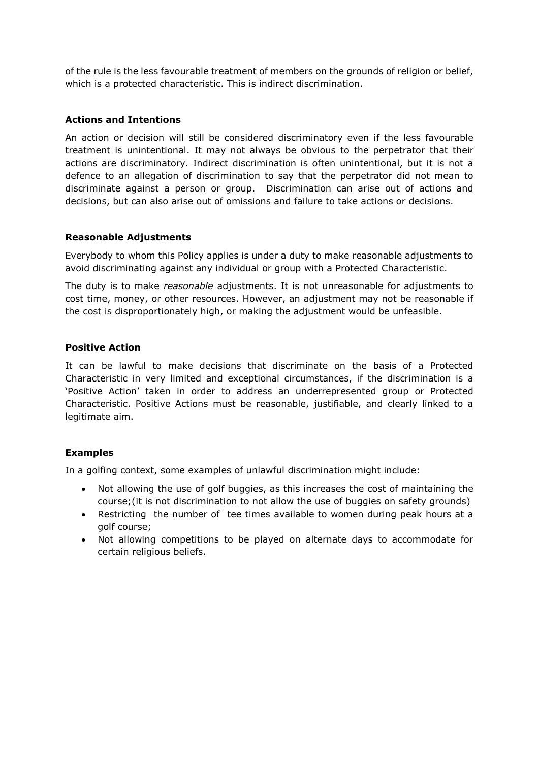of the rule is the less favourable treatment of members on the grounds of religion or belief, which is a protected characteristic. This is indirect discrimination.

# **Actions and Intentions**

An action or decision will still be considered discriminatory even if the less favourable treatment is unintentional. It may not always be obvious to the perpetrator that their actions are discriminatory. Indirect discrimination is often unintentional, but it is not a defence to an allegation of discrimination to say that the perpetrator did not mean to discriminate against a person or group. Discrimination can arise out of actions and decisions, but can also arise out of omissions and failure to take actions or decisions.

# **Reasonable Adjustments**

Everybody to whom this Policy applies is under a duty to make reasonable adjustments to avoid discriminating against any individual or group with a Protected Characteristic.

The duty is to make *reasonable* adjustments. It is not unreasonable for adjustments to cost time, money, or other resources. However, an adjustment may not be reasonable if the cost is disproportionately high, or making the adjustment would be unfeasible.

#### **Positive Action**

It can be lawful to make decisions that discriminate on the basis of a Protected Characteristic in very limited and exceptional circumstances, if the discrimination is a 'Positive Action' taken in order to address an underrepresented group or Protected Characteristic. Positive Actions must be reasonable, justifiable, and clearly linked to a legitimate aim.

# **Examples**

In a golfing context, some examples of unlawful discrimination might include:

- Not allowing the use of golf buggies, as this increases the cost of maintaining the course;(it is not discrimination to not allow the use of buggies on safety grounds)
- Restricting the number of tee times available to women during peak hours at a golf course;
- Not allowing competitions to be played on alternate days to accommodate for certain religious beliefs.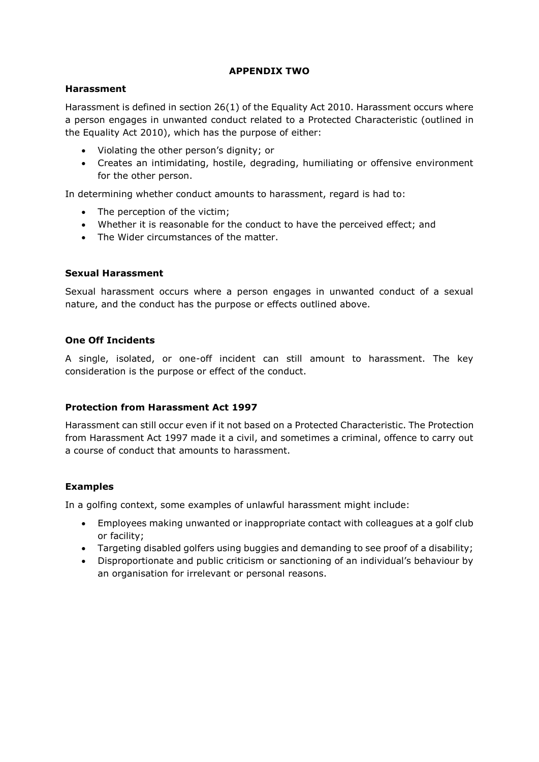# **APPENDIX TWO**

#### **Harassment**

Harassment is defined in section 26(1) of the Equality Act 2010. Harassment occurs where a person engages in unwanted conduct related to a Protected Characteristic (outlined in the Equality Act 2010), which has the purpose of either:

- Violating the other person's dignity; or
- Creates an intimidating, hostile, degrading, humiliating or offensive environment for the other person.

In determining whether conduct amounts to harassment, regard is had to:

- The perception of the victim;
- Whether it is reasonable for the conduct to have the perceived effect; and
- The Wider circumstances of the matter.

#### **Sexual Harassment**

Sexual harassment occurs where a person engages in unwanted conduct of a sexual nature, and the conduct has the purpose or effects outlined above.

# **One Off Incidents**

A single, isolated, or one-off incident can still amount to harassment. The key consideration is the purpose or effect of the conduct.

# **Protection from Harassment Act 1997**

Harassment can still occur even if it not based on a Protected Characteristic. The Protection from Harassment Act 1997 made it a civil, and sometimes a criminal, offence to carry out a course of conduct that amounts to harassment.

# **Examples**

In a golfing context, some examples of unlawful harassment might include:

- Employees making unwanted or inappropriate contact with colleagues at a golf club or facility;
- Targeting disabled golfers using buggies and demanding to see proof of a disability;
- Disproportionate and public criticism or sanctioning of an individual's behaviour by an organisation for irrelevant or personal reasons.